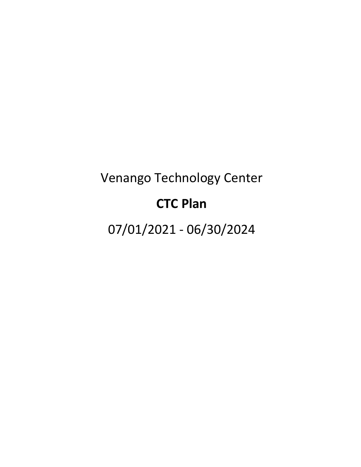# Venango Technology Center

# **CTC Plan**

07/01/2021 - 06/30/2024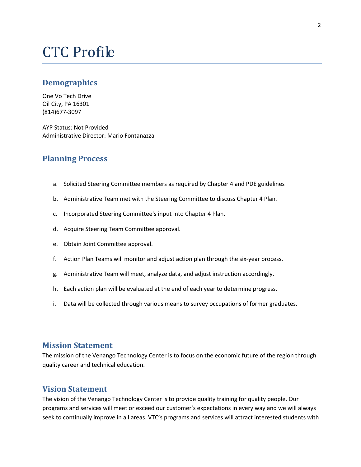# CTC Profile

# **Demographics**

One Vo Tech Drive Oil City, PA 16301 (814)677-3097

AYP Status: Not Provided Administrative Director: Mario Fontanazza

# **Planning Process**

- a. Solicited Steering Committee members as required by Chapter 4 and PDE guidelines
- b. Administrative Team met with the Steering Committee to discuss Chapter 4 Plan.
- c. Incorporated Steering Committee's input into Chapter 4 Plan.
- d. Acquire Steering Team Committee approval.
- e. Obtain Joint Committee approval.
- f. Action Plan Teams will monitor and adjust action plan through the six-year process.
- g. Administrative Team will meet, analyze data, and adjust instruction accordingly.
- h. Each action plan will be evaluated at the end of each year to determine progress.
- i. Data will be collected through various means to survey occupations of former graduates.

#### **Mission Statement**

The mission of the Venango Technology Center is to focus on the economic future of the region through quality career and technical education.

# **Vision Statement**

The vision of the Venango Technology Center is to provide quality training for quality people. Our programs and services will meet or exceed our customer's expectations in every way and we will always seek to continually improve in all areas. VTC's programs and services will attract interested students with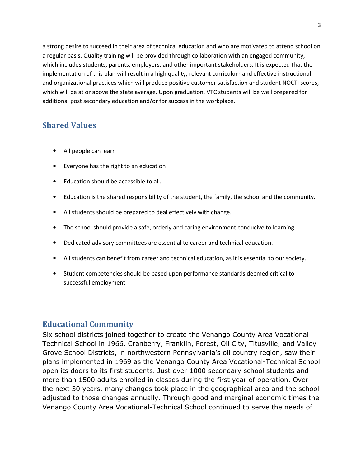a strong desire to succeed in their area of technical education and who are motivated to attend school on a regular basis. Quality training will be provided through collaboration with an engaged community, which includes students, parents, employers, and other important stakeholders. It is expected that the implementation of this plan will result in a high quality, relevant curriculum and effective instructional and organizational practices which will produce positive customer satisfaction and student NOCTI scores, which will be at or above the state average. Upon graduation, VTC students will be well prepared for additional post secondary education and/or for success in the workplace.

# **Shared Values**

- All people can learn
- Everyone has the right to an education
- Education should be accessible to all.
- Education is the shared responsibility of the student, the family, the school and the community.
- All students should be prepared to deal effectively with change.
- The school should provide a safe, orderly and caring environment conducive to learning.
- Dedicated advisory committees are essential to career and technical education.
- All students can benefit from career and technical education, as it is essential to our society.
- Student competencies should be based upon performance standards deemed critical to successful employment

# **Educational Community**

Six school districts joined together to create the Venango County Area Vocational Technical School in 1966. Cranberry, Franklin, Forest, Oil City, Titusville, and Valley Grove School Districts, in northwestern Pennsylvania's oil country region, saw their plans implemented in 1969 as the Venango County Area Vocational-Technical School open its doors to its first students. Just over 1000 secondary school students and more than 1500 adults enrolled in classes during the first year of operation. Over the next 30 years, many changes took place in the geographical area and the school adjusted to those changes annually. Through good and marginal economic times the Venango County Area Vocational-Technical School continued to serve the needs of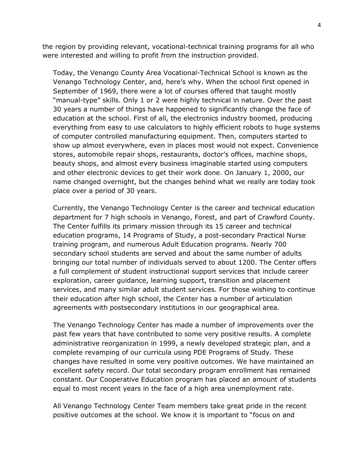the region by providing relevant, vocational-technical training programs for all who were interested and willing to profit from the instruction provided.

Today, the Venango County Area Vocational-Technical School is known as the Venango Technology Center, and, here's why. When the school first opened in September of 1969, there were a lot of courses offered that taught mostly "manual-type" skills. Only 1 or 2 were highly technical in nature. Over the past 30 years a number of things have happened to significantly change the face of education at the school. First of all, the electronics industry boomed, producing everything from easy to use calculators to highly efficient robots to huge systems of computer controlled manufacturing equipment. Then, computers started to show up almost everywhere, even in places most would not expect. Convenience stores, automobile repair shops, restaurants, doctor's offices, machine shops, beauty shops, and almost every business imaginable started using computers and other electronic devices to get their work done. On January 1, 2000, our name changed overnight, but the changes behind what we really are today took place over a period of 30 years.

Currently, the Venango Technology Center is the career and technical education department for 7 high schools in Venango, Forest, and part of Crawford County. The Center fulfills its primary mission through its 15 career and technical education programs, 14 Programs of Study, a post-secondary Practical Nurse training program, and numerous Adult Education programs. Nearly 700 secondary school students are served and about the same number of adults bringing our total number of individuals served to about 1200. The Center offers a full complement of student instructional support services that include career exploration, career guidance, learning support, transition and placement services, and many similar adult student services. For those wishing to continue their education after high school, the Center has a number of articulation agreements with postsecondary institutions in our geographical area.

The Venango Technology Center has made a number of improvements over the past few years that have contributed to some very positive results. A complete administrative reorganization in 1999, a newly developed strategic plan, and a complete revamping of our curricula using PDE Programs of Study. These changes have resulted in some very positive outcomes. We have maintained an excellent safety record. Our total secondary program enrollment has remained constant. Our Cooperative Education program has placed an amount of students equal to most recent years in the face of a high area unemployment rate.

All Venango Technology Center Team members take great pride in the recent positive outcomes at the school. We know it is important to "focus on and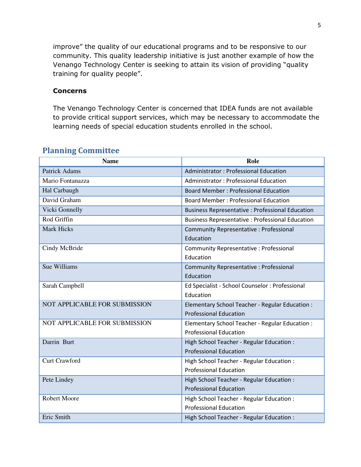improve" the quality of our educational programs and to be responsive to our community. This quality leadership initiative is just another example of how the Venango Technology Center is seeking to attain its vision of providing "quality training for quality people".

### **Concerns**

The Venango Technology Center is concerned that IDEA funds are not available to provide critical support services, which may be necessary to accommodate the learning needs of special education students enrolled in the school.

| <b>Name</b>                          | Role                                                    |
|--------------------------------------|---------------------------------------------------------|
| <b>Patrick Adams</b>                 | <b>Administrator: Professional Education</b>            |
| Mario Fontanazza                     | <b>Administrator: Professional Education</b>            |
| Hal Carbaugh                         | <b>Board Member: Professional Education</b>             |
| David Graham                         | <b>Board Member: Professional Education</b>             |
| Vicki Gonnelly                       | <b>Business Representative : Professional Education</b> |
| Rod Griffin                          | <b>Business Representative: Professional Education</b>  |
| <b>Mark Hicks</b>                    | <b>Community Representative: Professional</b>           |
|                                      | Education                                               |
| Cindy McBride                        | <b>Community Representative: Professional</b>           |
|                                      | Education                                               |
| Sue Williams                         | Community Representative : Professional                 |
|                                      | Education                                               |
| Sarah Campbell                       | Ed Specialist - School Counselor : Professional         |
|                                      | Education                                               |
| <b>NOT APPLICABLE FOR SUBMISSION</b> | Elementary School Teacher - Regular Education :         |
|                                      | <b>Professional Education</b>                           |
| NOT APPLICABLE FOR SUBMISSION        | Elementary School Teacher - Regular Education :         |
|                                      | <b>Professional Education</b>                           |
| Darrin Burt                          | High School Teacher - Regular Education :               |
|                                      | <b>Professional Education</b>                           |
| Curt Crawford                        | High School Teacher - Regular Education :               |
|                                      | <b>Professional Education</b>                           |
| Pete Lindey                          | High School Teacher - Regular Education :               |
|                                      | <b>Professional Education</b>                           |
| <b>Robert Moore</b>                  | High School Teacher - Regular Education :               |
|                                      | <b>Professional Education</b>                           |
| Eric Smith                           | High School Teacher - Regular Education :               |

# **Planning Committee**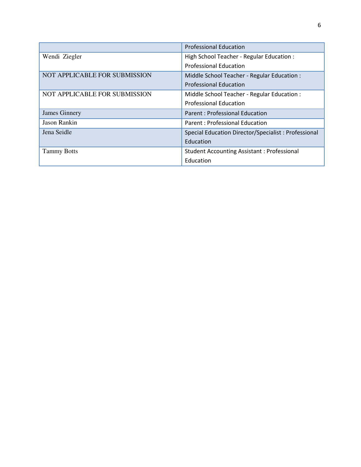|                               | <b>Professional Education</b>                       |
|-------------------------------|-----------------------------------------------------|
| Wendi Ziegler                 | High School Teacher - Regular Education :           |
|                               | <b>Professional Education</b>                       |
| NOT APPLICABLE FOR SUBMISSION | Middle School Teacher - Regular Education :         |
|                               | <b>Professional Education</b>                       |
| NOT APPLICABLE FOR SUBMISSION | Middle School Teacher - Regular Education :         |
|                               | <b>Professional Education</b>                       |
| <b>James Ginnery</b>          | <b>Parent: Professional Education</b>               |
| <b>Jason Rankin</b>           | Parent: Professional Education                      |
| Jena Seidle                   | Special Education Director/Specialist: Professional |
|                               | Education                                           |
| <b>Tammy Botts</b>            | <b>Student Accounting Assistant: Professional</b>   |
|                               | Education                                           |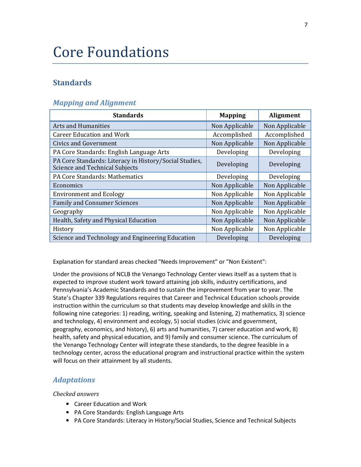# Core Foundations

# **Standards**

### *Mapping and Alignment*

| <b>Standards</b>                                                                         | <b>Mapping</b> | <b>Alignment</b> |
|------------------------------------------------------------------------------------------|----------------|------------------|
| <b>Arts and Humanities</b>                                                               | Non Applicable | Non Applicable   |
| <b>Career Education and Work</b>                                                         | Accomplished   | Accomplished     |
| Civics and Government                                                                    | Non Applicable | Non Applicable   |
| PA Core Standards: English Language Arts                                                 | Developing     | Developing       |
| PA Core Standards: Literacy in History/Social Studies,<br>Science and Technical Subjects | Developing     | Developing       |
| PA Core Standards: Mathematics                                                           | Developing     | Developing       |
| Economics                                                                                | Non Applicable | Non Applicable   |
| <b>Environment and Ecology</b>                                                           | Non Applicable | Non Applicable   |
| <b>Family and Consumer Sciences</b>                                                      | Non Applicable | Non Applicable   |
| Geography                                                                                | Non Applicable | Non Applicable   |
| Health, Safety and Physical Education                                                    | Non Applicable | Non Applicable   |
| History                                                                                  | Non Applicable | Non Applicable   |
| Science and Technology and Engineering Education                                         | Developing     | Developing       |

Explanation for standard areas checked "Needs Improvement" or "Non Existent":

Under the provisions of NCLB the Venango Technology Center views itself as a system that is expected to improve student work toward attaining job skills, industry certifications, and Pennsylvania's Academic Standards and to sustain the improvement from year to year. The State's Chapter 339 Regulations requires that Career and Technical Education schools provide instruction within the curriculum so that students may develop knowledge and skills in the following nine categories: 1) reading, writing, speaking and listening, 2) mathematics, 3) science and technology, 4) environment and ecology, 5) social studies (civic and government, geography, economics, and history), 6) arts and humanities, 7) career education and work, 8) health, safety and physical education, and 9) family and consumer science. The curriculum of the Venango Technology Center will integrate these standards, to the degree feasible in a technology center, across the educational program and instructional practice within the system will focus on their attainment by all students.

# *Adaptations*

- Career Education and Work
- PA Core Standards: English Language Arts
- PA Core Standards: Literacy in History/Social Studies, Science and Technical Subjects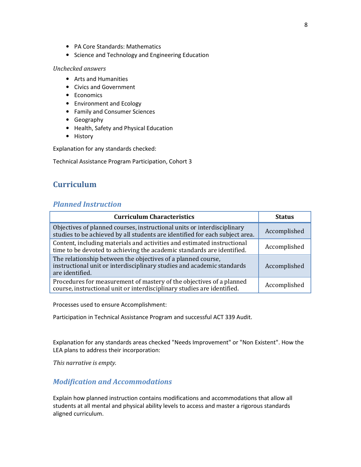- PA Core Standards: Mathematics
- Science and Technology and Engineering Education

- Arts and Humanities
- Civics and Government
- Economics
- Environment and Ecology
- Family and Consumer Sciences
- Geography
- Health, Safety and Physical Education
- History

Explanation for any standards checked:

Technical Assistance Program Participation, Cohort 3

# **Curriculum**

# *Planned Instruction*

| <b>Curriculum Characteristics</b>                                                                                                                         | <b>Status</b> |
|-----------------------------------------------------------------------------------------------------------------------------------------------------------|---------------|
| Objectives of planned courses, instructional units or interdisciplinary<br>studies to be achieved by all students are identified for each subject area.   | Accomplished  |
| Content, including materials and activities and estimated instructional<br>time to be devoted to achieving the academic standards are identified.         | Accomplished  |
| The relationship between the objectives of a planned course,<br>instructional unit or interdisciplinary studies and academic standards<br>are identified. | Accomplished  |
| Procedures for measurement of mastery of the objectives of a planned<br>course, instructional unit or interdisciplinary studies are identified.           | Accomplished  |

Processes used to ensure Accomplishment:

Participation in Technical Assistance Program and successful ACT 339 Audit.

Explanation for any standards areas checked "Needs Improvement" or "Non Existent". How the LEA plans to address their incorporation:

*This narrative is empty.*

# *Modification and Accommodations*

Explain how planned instruction contains modifications and accommodations that allow all students at all mental and physical ability levels to access and master a rigorous standards aligned curriculum.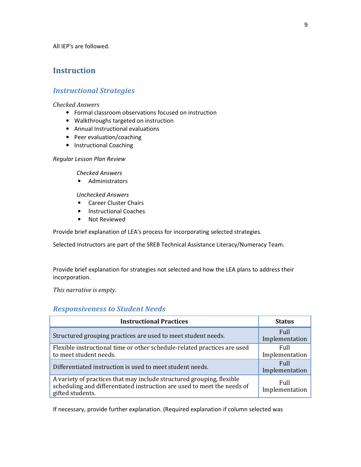All IEP's are followed.

# **Instruction**

# *Instructional Strategies*

#### *Checked Answers*

- Formal classroom observations focused on instruction
- Walkthroughs targeted on instruction
- Annual Instructional evaluations
- Peer evaluation/coaching
- Instructional Coaching

#### *Regular Lesson Plan Review*

#### *Checked Answers*

• Administrators

*Unchecked Answers*

- Career Cluster Chairs
- Instructional Coaches
- Not Reviewed

Provide brief explanation of LEA's process for incorporating selected strategies.

Selected Instructors are part of the SREB Technical Assistance Literacy/Numeracy Team.

Provide brief explanation for strategies not selected and how the LEA plans to address their incorporation.

*This narrative is empty.*

# *Responsiveness to Student Needs*

| <b>Instructional Practices</b>                                                                                                                                       | <b>Status</b>                 |
|----------------------------------------------------------------------------------------------------------------------------------------------------------------------|-------------------------------|
| Structured grouping practices are used to meet student needs.                                                                                                        | <b>Full</b><br>Implementation |
| Flexible instructional time or other schedule-related practices are used<br>to meet student needs.                                                                   | Full<br>Implementation        |
| Differentiated instruction is used to meet student needs.                                                                                                            | <b>Full</b><br>Implementation |
| A variety of practices that may include structured grouping, flexible<br>scheduling and differentiated instruction are used to meet the needs of<br>gifted students. | Full<br>Implementation        |

If necessary, provide further explanation. (Required explanation if column selected was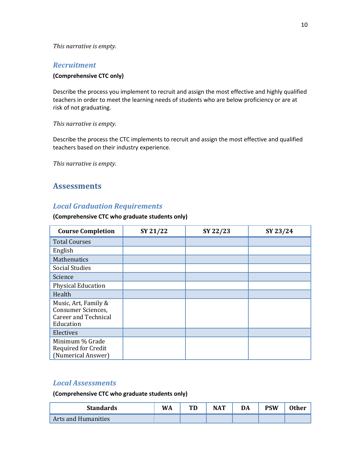#### *This narrative is empty.*

### *Recruitment*

#### **(Comprehensive CTC only)**

Describe the process you implement to recruit and assign the most effective and highly qualified teachers in order to meet the learning needs of students who are below proficiency or are at risk of not graduating.

#### *This narrative is empty.*

Describe the process the CTC implements to recruit and assign the most effective and qualified teachers based on their industry experience.

*This narrative is empty.*

# **Assessments**

# *Local Graduation Requirements*

#### **(Comprehensive CTC who graduate students only)**

| <b>Course Completion</b>                                                                      | SY 21/22 | SY 22/23 | SY 23/24 |
|-----------------------------------------------------------------------------------------------|----------|----------|----------|
| <b>Total Courses</b>                                                                          |          |          |          |
| English                                                                                       |          |          |          |
| Mathematics                                                                                   |          |          |          |
| <b>Social Studies</b>                                                                         |          |          |          |
| Science                                                                                       |          |          |          |
| <b>Physical Education</b>                                                                     |          |          |          |
| Health                                                                                        |          |          |          |
| Music, Art, Family &<br><b>Consumer Sciences,</b><br><b>Career and Technical</b><br>Education |          |          |          |
| Electives                                                                                     |          |          |          |
| Minimum % Grade<br>Required for Credit<br>(Numerical Answer)                                  |          |          |          |

# *Local Assessments*

**(Comprehensive CTC who graduate students only)**

| <b>Standards</b>    | WA | TD | <b>NAT</b> | DA | <b>PSW</b> | <b>Other</b> |
|---------------------|----|----|------------|----|------------|--------------|
| Arts and Humanities |    |    |            |    |            |              |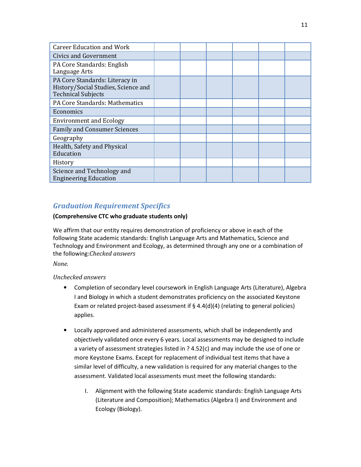| <b>Career Education and Work</b>                                                                   |  |  |  |
|----------------------------------------------------------------------------------------------------|--|--|--|
| <b>Civics and Government</b>                                                                       |  |  |  |
| PA Core Standards: English<br>Language Arts                                                        |  |  |  |
| PA Core Standards: Literacy in<br>History/Social Studies, Science and<br><b>Technical Subjects</b> |  |  |  |
| PA Core Standards: Mathematics                                                                     |  |  |  |
| Economics                                                                                          |  |  |  |
| <b>Environment and Ecology</b>                                                                     |  |  |  |
| <b>Family and Consumer Sciences</b>                                                                |  |  |  |
| Geography                                                                                          |  |  |  |
| Health, Safety and Physical<br>Education                                                           |  |  |  |
| History                                                                                            |  |  |  |
| Science and Technology and<br><b>Engineering Education</b>                                         |  |  |  |

# *Graduation Requirement Specifics*

#### **(Comprehensive CTC who graduate students only)**

We affirm that our entity requires demonstration of proficiency or above in each of the following State academic standards: English Language Arts and Mathematics, Science and Technology and Environment and Ecology, as determined through any one or a combination of the following:*Checked answers*

*None.*

*Unchecked answers* 

- Completion of secondary level coursework in English Language Arts (Literature), Algebra I and Biology in which a student demonstrates proficiency on the associated Keystone Exam or related project-based assessment if  $\S$  4.4(d)(4) (relating to general policies) applies.
- Locally approved and administered assessments, which shall be independently and objectively validated once every 6 years. Local assessments may be designed to include a variety of assessment strategies listed in ? 4.52(c) and may include the use of one or more Keystone Exams. Except for replacement of individual test items that have a similar level of difficulty, a new validation is required for any material changes to the assessment. Validated local assessments must meet the following standards:
	- I. Alignment with the following State academic standards: English Language Arts (Literature and Composition); Mathematics (Algebra I) and Environment and Ecology (Biology).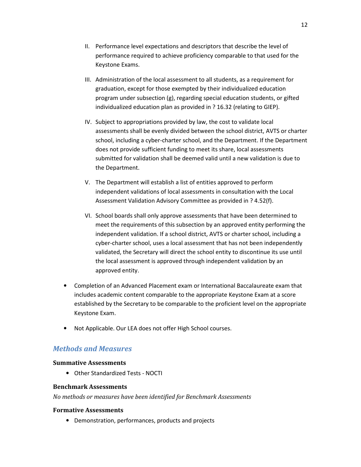- II. Performance level expectations and descriptors that describe the level of performance required to achieve proficiency comparable to that used for the Keystone Exams.
- III. Administration of the local assessment to all students, as a requirement for graduation, except for those exempted by their individualized education program under subsection (g), regarding special education students, or gifted individualized education plan as provided in ? 16.32 (relating to GIEP).
- IV. Subject to appropriations provided by law, the cost to validate local assessments shall be evenly divided between the school district, AVTS or charter school, including a cyber-charter school, and the Department. If the Department does not provide sufficient funding to meet its share, local assessments submitted for validation shall be deemed valid until a new validation is due to the Department.
- V. The Department will establish a list of entities approved to perform independent validations of local assessments in consultation with the Local Assessment Validation Advisory Committee as provided in ? 4.52(f).
- VI. School boards shall only approve assessments that have been determined to meet the requirements of this subsection by an approved entity performing the independent validation. If a school district, AVTS or charter school, including a cyber-charter school, uses a local assessment that has not been independently validated, the Secretary will direct the school entity to discontinue its use until the local assessment is approved through independent validation by an approved entity.
- Completion of an Advanced Placement exam or International Baccalaureate exam that includes academic content comparable to the appropriate Keystone Exam at a score established by the Secretary to be comparable to the proficient level on the appropriate Keystone Exam.
- Not Applicable. Our LEA does not offer High School courses.

# *Methods and Measures*

#### **Summative Assessments**

• Other Standardized Tests - NOCTI

#### **Benchmark Assessments**

*No methods or measures have been identified for Benchmark Assessments*

#### **Formative Assessments**

• Demonstration, performances, products and projects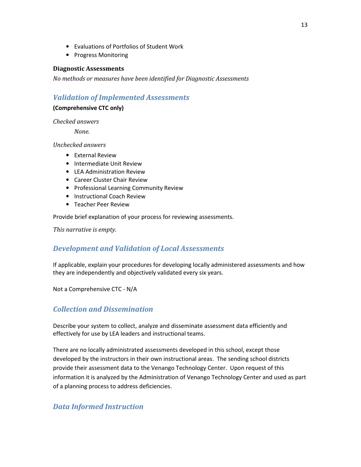- Evaluations of Portfolios of Student Work
- Progress Monitoring

#### **Diagnostic Assessments**

*No methods or measures have been identified for Diagnostic Assessments*

### *Validation of Implemented Assessments*

#### **(Comprehensive CTC only)**

*Checked answers*

 *None.*

*Unchecked answers* 

- External Review
- Intermediate Unit Review
- LEA Administration Review
- Career Cluster Chair Review
- Professional Learning Community Review
- Instructional Coach Review
- Teacher Peer Review

Provide brief explanation of your process for reviewing assessments.

*This narrative is empty.*

# *Development and Validation of Local Assessments*

If applicable, explain your procedures for developing locally administered assessments and how they are independently and objectively validated every six years.

Not a Comprehensive CTC - N/A

# *Collection and Dissemination*

Describe your system to collect, analyze and disseminate assessment data efficiently and effectively for use by LEA leaders and instructional teams.

There are no locally administrated assessments developed in this school, except those developed by the instructors in their own instructional areas. The sending school districts provide their assessment data to the Venango Technology Center. Upon request of this information it is analyzed by the Administration of Venango Technology Center and used as part of a planning process to address deficiencies.

# *Data Informed Instruction*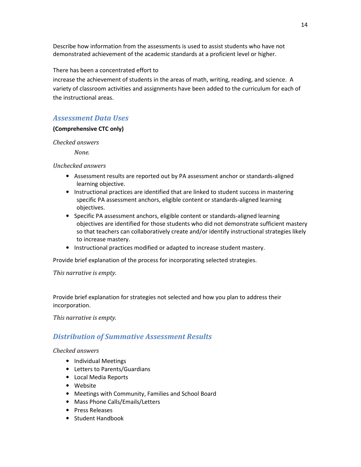Describe how information from the assessments is used to assist students who have not demonstrated achievement of the academic standards at a proficient level or higher.

There has been a concentrated effort to

increase the achievement of students in the areas of math, writing, reading, and science. A variety of classroom activities and assignments have been added to the curriculum for each of the instructional areas.

# *Assessment Data Uses*

#### **(Comprehensive CTC only)**

#### *Checked answers*

 *None.*

#### *Unchecked answers*

- Assessment results are reported out by PA assessment anchor or standards-aligned learning objective.
- Instructional practices are identified that are linked to student success in mastering specific PA assessment anchors, eligible content or standards-aligned learning objectives.
- Specific PA assessment anchors, eligible content or standards-aligned learning objectives are identified for those students who did not demonstrate sufficient mastery so that teachers can collaboratively create and/or identify instructional strategies likely to increase mastery.
- Instructional practices modified or adapted to increase student mastery.

Provide brief explanation of the process for incorporating selected strategies.

#### *This narrative is empty.*

Provide brief explanation for strategies not selected and how you plan to address their incorporation.

*This narrative is empty.* 

# *Distribution of Summative Assessment Results*

- Individual Meetings
- Letters to Parents/Guardians
- Local Media Reports
- Website
- Meetings with Community, Families and School Board
- Mass Phone Calls/Emails/Letters
- Press Releases
- Student Handbook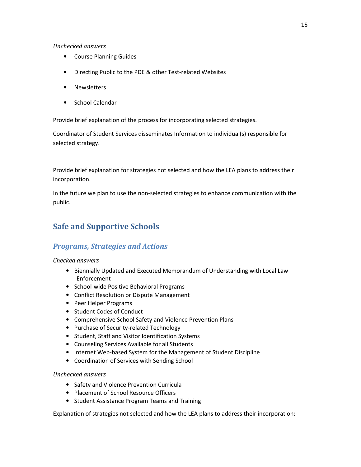- Course Planning Guides
- Directing Public to the PDE & other Test-related Websites
- Newsletters
- School Calendar

Provide brief explanation of the process for incorporating selected strategies.

Coordinator of Student Services disseminates Information to individual(s) responsible for selected strategy.

Provide brief explanation for strategies not selected and how the LEA plans to address their incorporation.

In the future we plan to use the non-selected strategies to enhance communication with the public.

# **Safe and Supportive Schools**

# *Programs, Strategies and Actions*

#### *Checked answers*

- Biennially Updated and Executed Memorandum of Understanding with Local Law Enforcement
- School-wide Positive Behavioral Programs
- Conflict Resolution or Dispute Management
- Peer Helper Programs
- Student Codes of Conduct
- Comprehensive School Safety and Violence Prevention Plans
- Purchase of Security-related Technology
- Student, Staff and Visitor Identification Systems
- Counseling Services Available for all Students
- Internet Web-based System for the Management of Student Discipline
- Coordination of Services with Sending School

#### *Unchecked answers*

- Safety and Violence Prevention Curricula
- Placement of School Resource Officers
- Student Assistance Program Teams and Training

Explanation of strategies not selected and how the LEA plans to address their incorporation: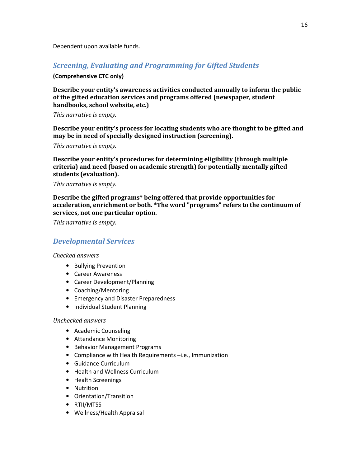Dependent upon available funds.

# *Screening, Evaluating and Programming for Gifted Students*

#### **(Comprehensive CTC only)**

**Describe your entity's awareness activities conducted annually to inform the public of the gifted education services and programs offered (newspaper, student handbooks, school website, etc.)**

*This narrative is empty.*

**Describe your entity's process for locating students who are thought to be gifted and may be in need of specially designed instruction (screening).**

*This narrative is empty.*

**Describe your entity's procedures for determining eligibility (through multiple criteria) and need (based on academic strength) for potentially mentally gifted students (evaluation).**

*This narrative is empty.*

**Describe the gifted programs\* being offered that provide opportunities for acceleration, enrichment or both. \*The word "programs" refers to the continuum of services, not one particular option.**

*This narrative is empty.*

# *Developmental Services*

*Checked answers* 

- Bullying Prevention
- Career Awareness
- Career Development/Planning
- Coaching/Mentoring
- Emergency and Disaster Preparedness
- Individual Student Planning

#### *Unchecked answers*

- Academic Counseling
- Attendance Monitoring
- Behavior Management Programs
- Compliance with Health Requirements –i.e., Immunization
- Guidance Curriculum
- Health and Wellness Curriculum
- Health Screenings
- Nutrition
- Orientation/Transition
- RTII/MTSS
- Wellness/Health Appraisal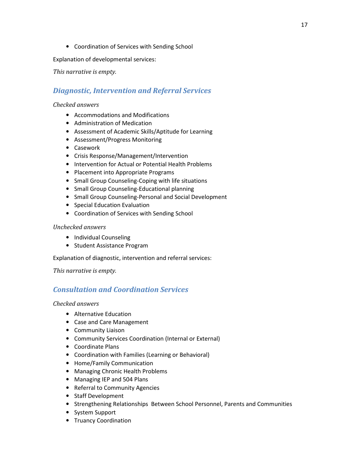• Coordination of Services with Sending School

Explanation of developmental services:

*This narrative is empty.*

# *Diagnostic, Intervention and Referral Services*

#### *Checked answers*

- Accommodations and Modifications
- Administration of Medication
- Assessment of Academic Skills/Aptitude for Learning
- Assessment/Progress Monitoring
- Casework
- Crisis Response/Management/Intervention
- Intervention for Actual or Potential Health Problems
- Placement into Appropriate Programs
- Small Group Counseling-Coping with life situations
- Small Group Counseling-Educational planning
- Small Group Counseling-Personal and Social Development
- Special Education Evaluation
- Coordination of Services with Sending School

#### *Unchecked answers*

- Individual Counseling
- Student Assistance Program

Explanation of diagnostic, intervention and referral services:

*This narrative is empty.*

# *Consultation and Coordination Services*

- Alternative Education
- Case and Care Management
- Community Liaison
- Community Services Coordination (Internal or External)
- Coordinate Plans
- Coordination with Families (Learning or Behavioral)
- Home/Family Communication
- Managing Chronic Health Problems
- Managing IEP and 504 Plans
- Referral to Community Agencies
- Staff Development
- Strengthening Relationships Between School Personnel, Parents and Communities
- System Support
- Truancy Coordination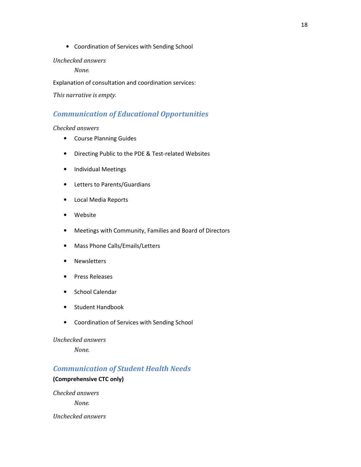• Coordination of Services with Sending School

#### *Unchecked answers*

 *None.*

Explanation of consultation and coordination services:

*This narrative is empty.* 

# *Communication of Educational Opportunities*

#### *Checked answers*

- Course Planning Guides
- Directing Public to the PDE & Test-related Websites
- Individual Meetings
- Letters to Parents/Guardians
- Local Media Reports
- Website
- Meetings with Community, Families and Board of Directors
- Mass Phone Calls/Emails/Letters
- Newsletters
- Press Releases
- School Calendar
- Student Handbook
- Coordination of Services with Sending School

#### *Unchecked answers*

 *None.*

# *Communication of Student Health Needs*

#### **(Comprehensive CTC only)**

*Checked answers*

 *None.*

*Unchecked answers*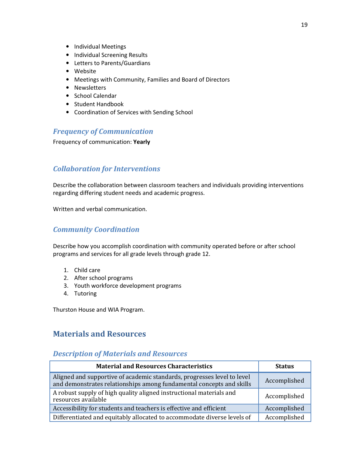- Individual Meetings
- Individual Screening Results
- Letters to Parents/Guardians
- Website
- Meetings with Community, Families and Board of Directors
- Newsletters
- School Calendar
- Student Handbook
- Coordination of Services with Sending School

# *Frequency of Communication*

Frequency of communication: **Yearly**

# *Collaboration for Interventions*

Describe the collaboration between classroom teachers and individuals providing interventions regarding differing student needs and academic progress.

Written and verbal communication.

# *Community Coordination*

Describe how you accomplish coordination with community operated before or after school programs and services for all grade levels through grade 12.

- 1. Child care
- 2. After school programs
- 3. Youth workforce development programs
- 4. Tutoring

Thurston House and WIA Program.

# **Materials and Resources**

#### *Description of Materials and Resources*

| <b>Material and Resources Characteristics</b>                                                                                                   | <b>Status</b> |
|-------------------------------------------------------------------------------------------------------------------------------------------------|---------------|
| Aligned and supportive of academic standards, progresses level to level<br>and demonstrates relationships among fundamental concepts and skills | Accomplished  |
| A robust supply of high quality aligned instructional materials and<br>resources available                                                      | Accomplished  |
| Accessibility for students and teachers is effective and efficient                                                                              | Accomplished  |
| Differentiated and equitably allocated to accommodate diverse levels of                                                                         | Accomplished  |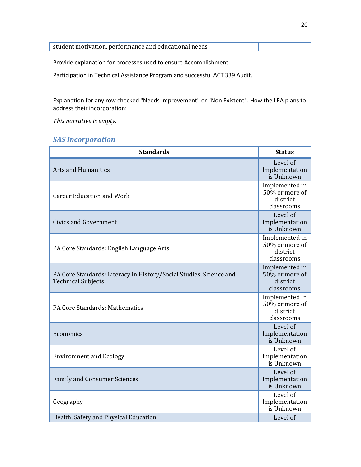| student motivation, performance and educational needs |  |
|-------------------------------------------------------|--|

Provide explanation for processes used to ensure Accomplishment.

Participation in Technical Assistance Program and successful ACT 339 Audit.

Explanation for any row checked "Needs Improvement" or "Non Existent". How the LEA plans to address their incorporation:

*This narrative is empty.*

# *SAS Incorporation*

| <b>Standards</b>                                                                                | <b>Status</b>                                              |
|-------------------------------------------------------------------------------------------------|------------------------------------------------------------|
| <b>Arts and Humanities</b>                                                                      | Level of<br>Implementation<br>is Unknown                   |
| <b>Career Education and Work</b>                                                                | Implemented in<br>50% or more of<br>district<br>classrooms |
| <b>Civics and Government</b>                                                                    | Level of<br>Implementation<br>is Unknown                   |
| PA Core Standards: English Language Arts                                                        | Implemented in<br>50% or more of<br>district<br>classrooms |
| PA Core Standards: Literacy in History/Social Studies, Science and<br><b>Technical Subjects</b> | Implemented in<br>50% or more of<br>district<br>classrooms |
| PA Core Standards: Mathematics                                                                  | Implemented in<br>50% or more of<br>district<br>classrooms |
| Economics                                                                                       | Level of<br>Implementation<br>is Unknown                   |
| <b>Environment and Ecology</b>                                                                  | Level of<br>Implementation<br>is Unknown                   |
| <b>Family and Consumer Sciences</b>                                                             | Level of<br>Implementation<br>is Unknown                   |
| Geography                                                                                       | Level of<br>Implementation<br>is Unknown                   |
| Health, Safety and Physical Education                                                           | Level of                                                   |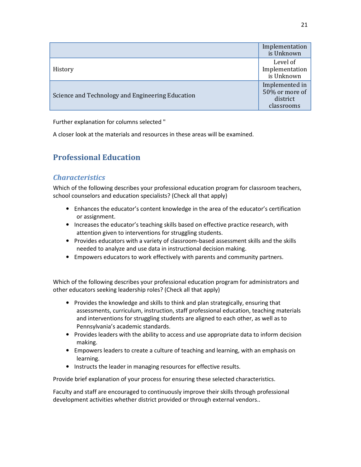|                                                  | Implementation<br>is Unknown                               |
|--------------------------------------------------|------------------------------------------------------------|
| History                                          | Level of<br>Implementation<br>is Unknown                   |
| Science and Technology and Engineering Education | Implemented in<br>50% or more of<br>district<br>classrooms |

Further explanation for columns selected "

A closer look at the materials and resources in these areas will be examined.

# **Professional Education**

# *Characteristics*

Which of the following describes your professional education program for classroom teachers, school counselors and education specialists? (Check all that apply)

- Enhances the educator's content knowledge in the area of the educator's certification or assignment.
- Increases the educator's teaching skills based on effective practice research, with attention given to interventions for struggling students.
- Provides educators with a variety of classroom-based assessment skills and the skills needed to analyze and use data in instructional decision making.
- Empowers educators to work effectively with parents and community partners.

Which of the following describes your professional education program for administrators and other educators seeking leadership roles? (Check all that apply)

- Provides the knowledge and skills to think and plan strategically, ensuring that assessments, curriculum, instruction, staff professional education, teaching materials and interventions for struggling students are aligned to each other, as well as to Pennsylvania's academic standards.
- Provides leaders with the ability to access and use appropriate data to inform decision making.
- Empowers leaders to create a culture of teaching and learning, with an emphasis on learning.
- Instructs the leader in managing resources for effective results.

Provide brief explanation of your process for ensuring these selected characteristics.

Faculty and staff are encouraged to continuously improve their skills through professional development activities whether district provided or through external vendors..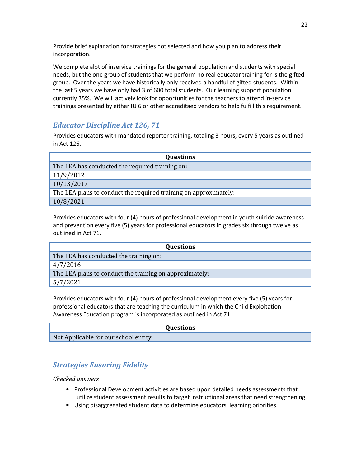Provide brief explanation for strategies not selected and how you plan to address their incorporation.

We complete alot of inservice trainings for the general population and students with special needs, but the one group of students that we perform no real educator training for is the gifted group. Over the years we have historically only received a handful of gifted students. Within the last 5 years we have only had 3 of 600 total students. Our learning support population currently 35%. We will actively look for opportunities for the teachers to attend in-service trainings presented by either IU 6 or other accreditaed vendors to help fulfill this requirement.

# *Educator Discipline Act 126, 71*

Provides educators with mandated reporter training, totaling 3 hours, every 5 years as outlined in Act 126.

| <b>Questions</b>                                                 |
|------------------------------------------------------------------|
| The LEA has conducted the required training on:                  |
| 11/9/2012                                                        |
| 10/13/2017                                                       |
| The LEA plans to conduct the required training on approximately: |
| 10/8/2021                                                        |

Provides educators with four (4) hours of professional development in youth suicide awareness and prevention every five (5) years for professional educators in grades six through twelve as outlined in Act 71.

| <b>Questions</b>                                        |
|---------------------------------------------------------|
| The LEA has conducted the training on:                  |
| 4/7/2016                                                |
| The LEA plans to conduct the training on approximately: |
| 5/7/2021                                                |

Provides educators with four (4) hours of professional development every five (5) years for professional educators that are teaching the curriculum in which the Child Exploitation Awareness Education program is incorporated as outlined in Act 71.

|                                      | <b>Questions</b> |
|--------------------------------------|------------------|
| Not Applicable for our school entity |                  |
|                                      |                  |

# *Strategies Ensuring Fidelity*

- Professional Development activities are based upon detailed needs assessments that utilize student assessment results to target instructional areas that need strengthening.
- Using disaggregated student data to determine educators' learning priorities.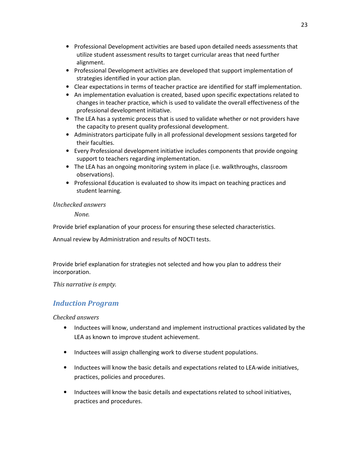- Professional Development activities are based upon detailed needs assessments that utilize student assessment results to target curricular areas that need further alignment.
- Professional Development activities are developed that support implementation of strategies identified in your action plan.
- Clear expectations in terms of teacher practice are identified for staff implementation.
- An implementation evaluation is created, based upon specific expectations related to changes in teacher practice, which is used to validate the overall effectiveness of the professional development initiative.
- The LEA has a systemic process that is used to validate whether or not providers have the capacity to present quality professional development.
- Administrators participate fully in all professional development sessions targeted for their faculties.
- Every Professional development initiative includes components that provide ongoing support to teachers regarding implementation.
- The LEA has an ongoing monitoring system in place (i.e. walkthroughs, classroom observations).
- Professional Education is evaluated to show its impact on teaching practices and student learning.

 *None.*

Provide brief explanation of your process for ensuring these selected characteristics.

Annual review by Administration and results of NOCTI tests.

Provide brief explanation for strategies not selected and how you plan to address their incorporation.

*This narrative is empty.* 

# *Induction Program*

- Inductees will know, understand and implement instructional practices validated by the LEA as known to improve student achievement.
- Inductees will assign challenging work to diverse student populations.
- Inductees will know the basic details and expectations related to LEA-wide initiatives, practices, policies and procedures.
- Inductees will know the basic details and expectations related to school initiatives, practices and procedures.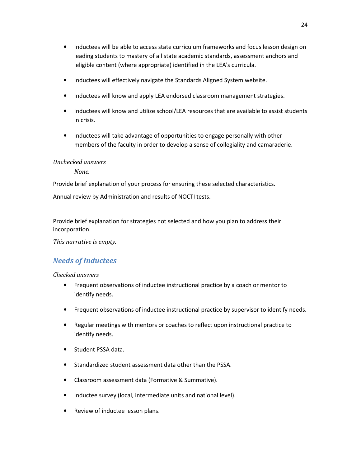- Inductees will be able to access state curriculum frameworks and focus lesson design on leading students to mastery of all state academic standards, assessment anchors and eligible content (where appropriate) identified in the LEA's curricula.
- Inductees will effectively navigate the Standards Aligned System website.
- Inductees will know and apply LEA endorsed classroom management strategies.
- Inductees will know and utilize school/LEA resources that are available to assist students in crisis.
- Inductees will take advantage of opportunities to engage personally with other members of the faculty in order to develop a sense of collegiality and camaraderie.

 *None.*

Provide brief explanation of your process for ensuring these selected characteristics.

Annual review by Administration and results of NOCTI tests.

Provide brief explanation for strategies not selected and how you plan to address their incorporation.

*This narrative is empty.* 

# *Needs of Inductees*

- Frequent observations of inductee instructional practice by a coach or mentor to identify needs.
- Frequent observations of inductee instructional practice by supervisor to identify needs.
- Regular meetings with mentors or coaches to reflect upon instructional practice to identify needs.
- Student PSSA data.
- Standardized student assessment data other than the PSSA.
- Classroom assessment data (Formative & Summative).
- Inductee survey (local, intermediate units and national level).
- Review of inductee lesson plans.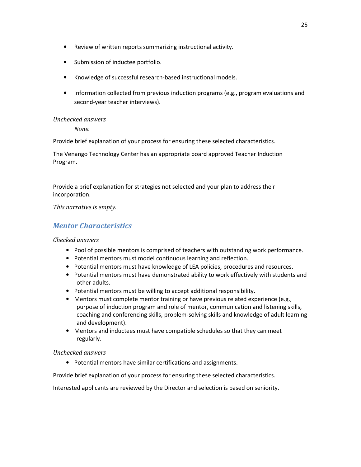- Review of written reports summarizing instructional activity.
- Submission of inductee portfolio.
- Knowledge of successful research-based instructional models.
- Information collected from previous induction programs (e.g., program evaluations and second-year teacher interviews).

 *None.*

Provide brief explanation of your process for ensuring these selected characteristics.

The Venango Technology Center has an appropriate board approved Teacher Induction Program.

Provide a brief explanation for strategies not selected and your plan to address their incorporation.

*This narrative is empty.* 

# *Mentor Characteristics*

#### *Checked answers*

- Pool of possible mentors is comprised of teachers with outstanding work performance.
- Potential mentors must model continuous learning and reflection.
- Potential mentors must have knowledge of LEA policies, procedures and resources.
- Potential mentors must have demonstrated ability to work effectively with students and other adults.
- Potential mentors must be willing to accept additional responsibility.
- Mentors must complete mentor training or have previous related experience (e.g., purpose of induction program and role of mentor, communication and listening skills, coaching and conferencing skills, problem-solving skills and knowledge of adult learning and development).
- Mentors and inductees must have compatible schedules so that they can meet regularly.

#### *Unchecked answers*

• Potential mentors have similar certifications and assignments.

Provide brief explanation of your process for ensuring these selected characteristics.

Interested applicants are reviewed by the Director and selection is based on seniority.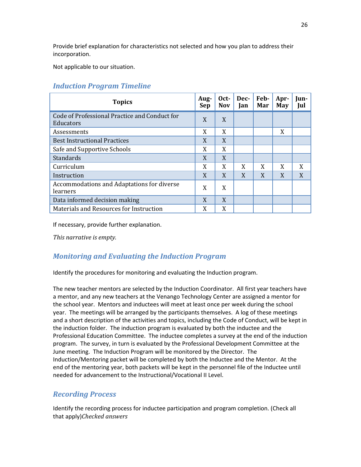Provide brief explanation for characteristics not selected and how you plan to address their incorporation.

Not applicable to our situation.

# *Induction Program Timeline*

| <b>Topics</b>                                              | Aug-<br>Sep | Oct-<br><b>Nov</b> | Dec-<br>Jan | Feb-<br>Mar | Apr-<br>May | Iun-<br>Jul |
|------------------------------------------------------------|-------------|--------------------|-------------|-------------|-------------|-------------|
| Code of Professional Practice and Conduct for<br>Educators | X           | X                  |             |             |             |             |
| Assessments                                                | X           | X                  |             |             | X           |             |
| <b>Best Instructional Practices</b>                        | X           | X                  |             |             |             |             |
| Safe and Supportive Schools                                | X           | X                  |             |             |             |             |
| Standards                                                  | X           | X                  |             |             |             |             |
| Curriculum                                                 | X           | X                  | X           | X           | X           | X           |
| Instruction                                                | X           | X                  | X           | X           | X           | X           |
| Accommodations and Adaptations for diverse<br>learners     | X           | X                  |             |             |             |             |
| Data informed decision making                              | X           | X                  |             |             |             |             |
| Materials and Resources for Instruction                    | X           | X                  |             |             |             |             |

If necessary, provide further explanation.

*This narrative is empty.*

# *Monitoring and Evaluating the Induction Program*

Identify the procedures for monitoring and evaluating the Induction program.

The new teacher mentors are selected by the Induction Coordinator. All first year teachers have a mentor, and any new teachers at the Venango Technology Center are assigned a mentor for the school year. Mentors and inductees will meet at least once per week during the school year. The meetings will be arranged by the participants themselves. A log of these meetings and a short description of the activities and topics, including the Code of Conduct, will be kept in the induction folder. The induction program is evaluated by both the inductee and the Professional Education Committee. The inductee completes a survey at the end of the induction program. The survey, in turn is evaluated by the Professional Development Committee at the June meeting. The Induction Program will be monitored by the Director. The Induction/Mentoring packet will be completed by both the Inductee and the Mentor. At the end of the mentoring year, both packets will be kept in the personnel file of the Inductee until needed for advancement to the Instructional/Vocational II Level.

# *Recording Process*

Identify the recording process for inductee participation and program completion. (Check all that apply)*Checked answers*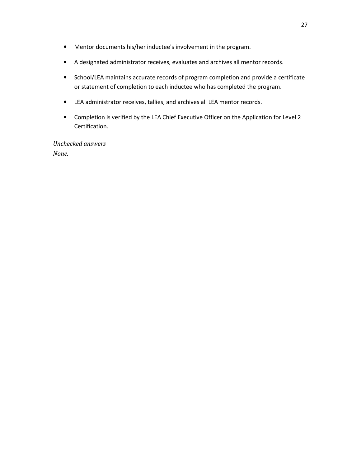- Mentor documents his/her inductee's involvement in the program.
- A designated administrator receives, evaluates and archives all mentor records.
- School/LEA maintains accurate records of program completion and provide a certificate or statement of completion to each inductee who has completed the program.
- LEA administrator receives, tallies, and archives all LEA mentor records.
- Completion is verified by the LEA Chief Executive Officer on the Application for Level 2 Certification.

*Unchecked answers None.*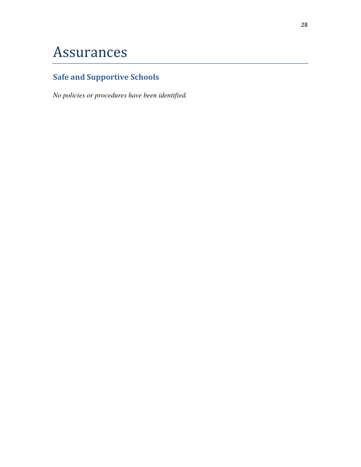# Assurances

# **Safe and Supportive Schools**

*No policies or procedures have been identified.*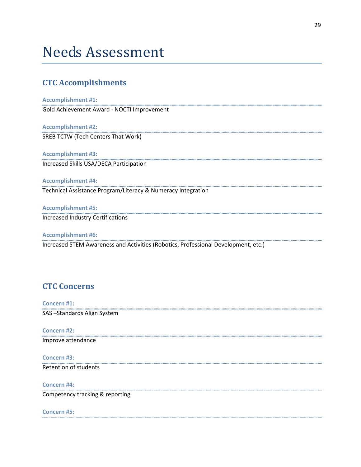# Needs Assessment

# **CTC Accomplishments**

#### **Accomplishment #1:**

Gold Achievement Award - NOCTI Improvement

**Accomplishment #2:** SREB TCTW (Tech Centers That Work)

**Accomplishment #3:** Increased Skills USA/DECA Participation

**Accomplishment #4:**

Technical Assistance Program/Literacy & Numeracy Integration

**Accomplishment #5:** Increased Industry Certifications

**Accomplishment #6:** Increased STEM Awareness and Activities (Robotics, Professional Development, etc.)

# **CTC Concerns**

**Concern #1:** SAS –Standards Align System

**Concern #2:** Improve attendance

**Concern #3:** Retention of students

**Concern #4:** Competency tracking & reporting

#### **Concern #5:**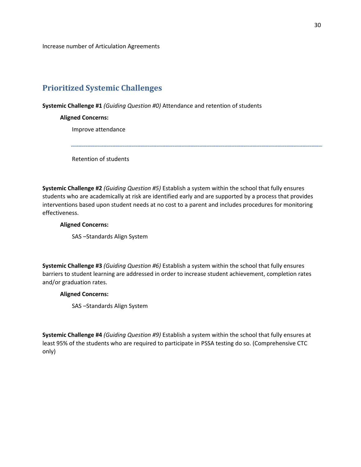Increase number of Articulation Agreements

# **Prioritized Systemic Challenges**

**Systemic Challenge #1** *(Guiding Question #0)* Attendance and retention of students

#### **Aligned Concerns:**

Improve attendance

Retention of students

**Systemic Challenge #2** *(Guiding Question #5)* Establish a system within the school that fully ensures students who are academically at risk are identified early and are supported by a process that provides interventions based upon student needs at no cost to a parent and includes procedures for monitoring effectiveness.

#### **Aligned Concerns:**

SAS –Standards Align System

**Systemic Challenge #3** *(Guiding Question #6)* Establish a system within the school that fully ensures barriers to student learning are addressed in order to increase student achievement, completion rates and/or graduation rates.

#### **Aligned Concerns:**

SAS –Standards Align System

**Systemic Challenge #4** *(Guiding Question #9)* Establish a system within the school that fully ensures at least 95% of the students who are required to participate in PSSA testing do so. (Comprehensive CTC only)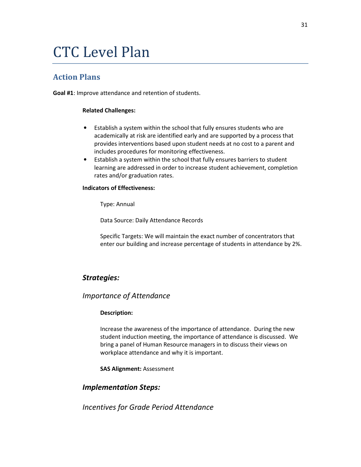# CTC Level Plan

# **Action Plans**

**Goal #1**: Improve attendance and retention of students.

#### **Related Challenges:**

- Establish a system within the school that fully ensures students who are academically at risk are identified early and are supported by a process that provides interventions based upon student needs at no cost to a parent and includes procedures for monitoring effectiveness.
- Establish a system within the school that fully ensures barriers to student learning are addressed in order to increase student achievement, completion rates and/or graduation rates.

#### **Indicators of Effectiveness:**

Type: Annual

Data Source: Daily Attendance Records

Specific Targets: We will maintain the exact number of concentrators that enter our building and increase percentage of students in attendance by 2%.

#### *Strategies:*

#### *Importance of Attendance*

#### **Description:**

Increase the awareness of the importance of attendance. During the new student induction meeting, the importance of attendance is discussed. We bring a panel of Human Resource managers in to discuss their views on workplace attendance and why it is important.

**SAS Alignment:** Assessment

### *Implementation Steps:*

*Incentives for Grade Period Attendance*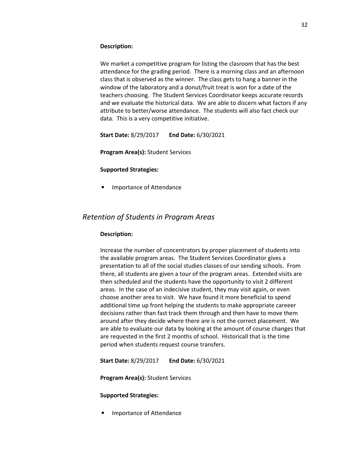#### **Description:**

We market a competitive program for listing the clasroom that has the best attendance for the grading period. There is a morning class and an afternoon class that is observed as the winner. The class gets to hang a banner in the window of the laboratory and a donut/fruit treat is won for a date of the teachers choosing. The Student Services Coordinator keeps accurate records and we evaluate the historical data. We are able to discern what factors if any attribute to better/worse attendance. The students will also fact check our data. This is a very competitive initiative.

**Start Date:** 8/29/2017 **End Date:** 6/30/2021

**Program Area(s):** Student Services

#### **Supported Strategies:**

• Importance of Attendance

#### *Retention of Students in Program Areas*

#### **Description:**

Increase the number of concentrators by proper placement of students into the available program areas. The Student Services Coordinator gives a presentation to all of the social studies classes of our sending schools. From there, all students are given a tour of the program areas. Extended visits are then scheduled and the students have the opportunity to visit 2 different areas. In the case of an indecisive student, they may visit again, or even choose another area to visit. We have found it more beneficial to spend additional time up front helping the students to make appropriate careeer decisions rather than fast track them through and then have to move them around after they decide where there are is not the correct placement. We are able to evaluate our data by looking at the amount of course changes that are requested in the first 2 months of school. Historicall that is the time period when students request course transfers.

**Start Date:** 8/29/2017 **End Date:** 6/30/2021

**Program Area(s):** Student Services

#### **Supported Strategies:**

• Importance of Attendance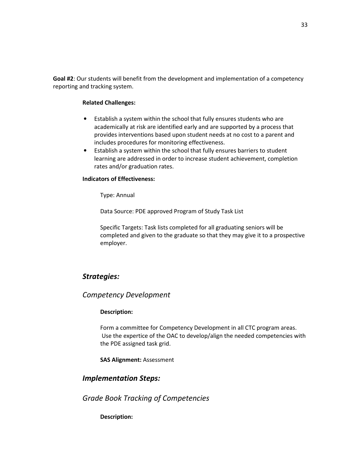**Goal #2**: Our students will benefit from the development and implementation of a competency reporting and tracking system.

#### **Related Challenges:**

- Establish a system within the school that fully ensures students who are academically at risk are identified early and are supported by a process that provides interventions based upon student needs at no cost to a parent and includes procedures for monitoring effectiveness.
- Establish a system within the school that fully ensures barriers to student learning are addressed in order to increase student achievement, completion rates and/or graduation rates.

#### **Indicators of Effectiveness:**

Type: Annual

Data Source: PDE approved Program of Study Task List

Specific Targets: Task lists completed for all graduating seniors will be completed and given to the graduate so that they may give it to a prospective employer.

# *Strategies:*

#### *Competency Development*

#### **Description:**

Form a committee for Competency Development in all CTC program areas. Use the expertice of the OAC to develop/align the needed competencies with the PDE assigned task grid.

**SAS Alignment:** Assessment

# *Implementation Steps:*

*Grade Book Tracking of Competencies*

#### **Description:**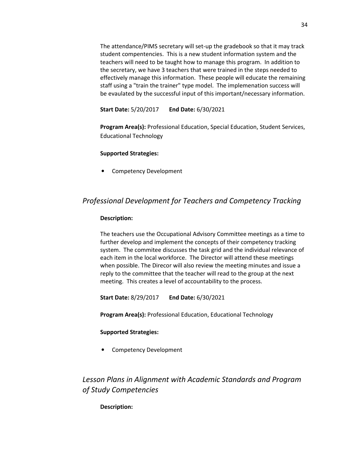The attendance/PIMS secretary will set-up the gradebook so that it may track student compentencies. This is a new student information system and the teachers will need to be taught how to manage this program. In addition to the secretary, we have 3 teachers that were trained in the steps needed to effectively manage this information. These people will educate the remaining staff using a "train the trainer" type model. The implemenation success will be evaulated by the successful input of this important/necessary information.

**Start Date:** 5/20/2017 **End Date:** 6/30/2021

**Program Area(s):** Professional Education, Special Education, Student Services, Educational Technology

#### **Supported Strategies:**

• Competency Development

# *Professional Development for Teachers and Competency Tracking*

#### **Description:**

The teachers use the Occupational Advisory Committee meetings as a time to further develop and implement the concepts of their competency tracking system. The commitee discusses the task grid and the individual relevance of each item in the local workforce. The Director will attend these meetings when possible. The Direcor will also review the meeting minutes and issue a reply to the committee that the teacher will read to the group at the next meeting. This creates a level of accountability to the process.

**Start Date:** 8/29/2017 **End Date:** 6/30/2021

**Program Area(s):** Professional Education, Educational Technology

#### **Supported Strategies:**

• Competency Development

# *Lesson Plans in Alignment with Academic Standards and Program of Study Competencies*

**Description:**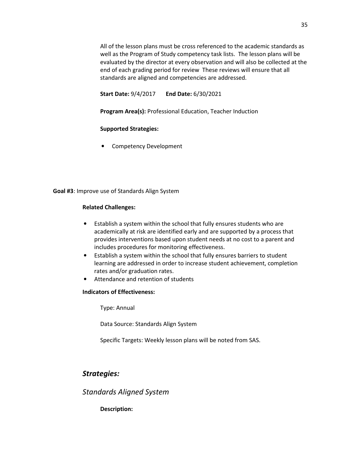All of the lesson plans must be cross referenced to the academic standards as well as the Program of Study competency task lists. The lesson plans will be evaluated by the director at every observation and will also be collected at the end of each grading period for review These reviews will ensure that all standards are aligned and competencies are addressed.

**Start Date:** 9/4/2017 **End Date:** 6/30/2021

**Program Area(s):** Professional Education, Teacher Induction

#### **Supported Strategies:**

• Competency Development

**Goal #3**: Improve use of Standards Align System

#### **Related Challenges:**

- Establish a system within the school that fully ensures students who are academically at risk are identified early and are supported by a process that provides interventions based upon student needs at no cost to a parent and includes procedures for monitoring effectiveness.
- Establish a system within the school that fully ensures barriers to student learning are addressed in order to increase student achievement, completion rates and/or graduation rates.
- Attendance and retention of students

#### **Indicators of Effectiveness:**

Type: Annual

Data Source: Standards Align System

Specific Targets: Weekly lesson plans will be noted from SAS.

# *Strategies:*

# *Standards Aligned System*

#### **Description:**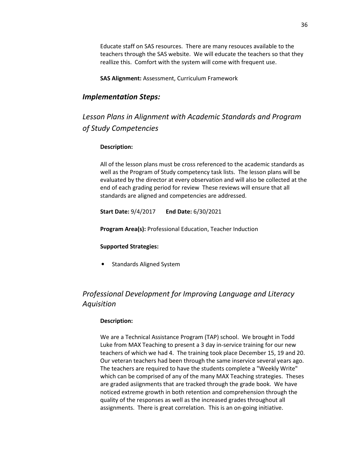Educate staff on SAS resources. There are many resouces available to the teachers through the SAS website. We will educate the teachers so that they reallize this. Comfort with the system will come with frequent use.

**SAS Alignment:** Assessment, Curriculum Framework

### *Implementation Steps:*

*Lesson Plans in Alignment with Academic Standards and Program of Study Competencies*

#### **Description:**

All of the lesson plans must be cross referenced to the academic standards as well as the Program of Study competency task lists. The lesson plans will be evaluated by the director at every observation and will also be collected at the end of each grading period for review These reviews will ensure that all standards are aligned and competencies are addressed.

**Start Date:** 9/4/2017 **End Date:** 6/30/2021

**Program Area(s):** Professional Education, Teacher Induction

#### **Supported Strategies:**

• Standards Aligned System

# *Professional Development for Improving Language and Literacy Aquisition*

#### **Description:**

We are a Technical Assistance Program (TAP) school. We brought in Todd Luke from MAX Teaching to present a 3 day in-service training for our new teachers of which we had 4. The training took place December 15, 19 and 20. Our veteran teachers had been through the same inservice several years ago. The teachers are required to have the students complete a "Weekly Write" which can be comprised of any of the many MAX Teaching strategies. Theses are graded asiignments that are tracked through the grade book. We have noticed extreme growth in both retention and comprehension through the quality of the responses as well as the increased grades throughout all assignments. There is great correlation. This is an on-going initiative.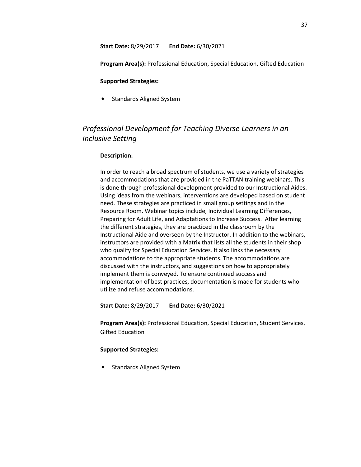**Start Date:** 8/29/2017 **End Date:** 6/30/2021

**Program Area(s):** Professional Education, Special Education, Gifted Education

#### **Supported Strategies:**

• Standards Aligned System

# *Professional Development for Teaching Diverse Learners in an Inclusive Setting*

#### **Description:**

In order to reach a broad spectrum of students, we use a variety of strategies and accommodations that are provided in the PaTTAN training webinars. This is done through professional development provided to our Instructional Aides. Using ideas from the webinars, interventions are developed based on student need. These strategies are practiced in small group settings and in the Resource Room. Webinar topics include, Individual Learning Differences, Preparing for Adult Life, and Adaptations to Increase Success. After learning the different strategies, they are practiced in the classroom by the Instructional Aide and overseen by the Instructor. In addition to the webinars, instructors are provided with a Matrix that lists all the students in their shop who qualify for Special Education Services. It also links the necessary accommodations to the appropriate students. The accommodations are discussed with the instructors, and suggestions on how to appropriately implement them is conveyed. To ensure continued success and implementation of best practices, documentation is made for students who utilize and refuse accommodations.

**Start Date:** 8/29/2017 **End Date:** 6/30/2021

**Program Area(s):** Professional Education, Special Education, Student Services, Gifted Education

#### **Supported Strategies:**

• Standards Aligned System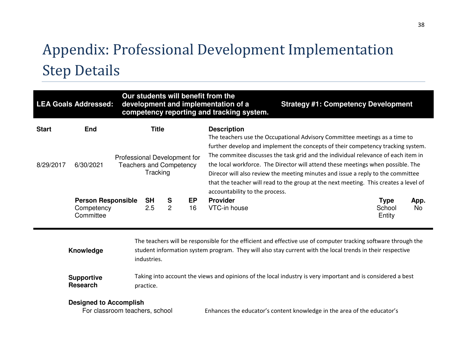# Appendix: Professional Development Implementation Step Details

| Our students will benefit from the<br><b>LEA Goals Addressed:</b><br>development and implementation of a<br>competency reporting and tracking system. |                                                      |  |                                                                            |                     |                 |                                                                                                                                                                                                                                                                                                                                                                                   | <b>Strategy #1: Competency Development</b>     |  |
|-------------------------------------------------------------------------------------------------------------------------------------------------------|------------------------------------------------------|--|----------------------------------------------------------------------------|---------------------|-----------------|-----------------------------------------------------------------------------------------------------------------------------------------------------------------------------------------------------------------------------------------------------------------------------------------------------------------------------------------------------------------------------------|------------------------------------------------|--|
| <b>Start</b>                                                                                                                                          | <b>End</b>                                           |  | <b>Title</b>                                                               |                     |                 | <b>Description</b><br>The teachers use the Occupational Advisory Committee meetings as a time to<br>further develop and implement the concepts of their competency tracking system.                                                                                                                                                                                               |                                                |  |
| 8/29/2017                                                                                                                                             | 6/30/2021                                            |  | Professional Development for<br><b>Teachers and Competency</b><br>Tracking |                     |                 | The commitee discusses the task grid and the individual relevance of each item in<br>the local workforce. The Director will attend these meetings when possible. The<br>Direcor will also review the meeting minutes and issue a reply to the committee<br>that the teacher will read to the group at the next meeting. This creates a level of<br>accountability to the process. |                                                |  |
|                                                                                                                                                       | <b>Person Responsible</b><br>Competency<br>Committee |  | <b>SH</b><br>2.5                                                           | S<br>$\overline{2}$ | <b>EP</b><br>16 | <b>Provider</b><br>VTC-in house                                                                                                                                                                                                                                                                                                                                                   | <b>Type</b><br>App.<br>School<br>No.<br>Entity |  |

| Knowledge         | The teachers will be responsible for the efficient and effective use of computer tracking software through the<br>student information system program. They will also stay current with the local trends in their respective<br>industries. |
|-------------------|--------------------------------------------------------------------------------------------------------------------------------------------------------------------------------------------------------------------------------------------|
| <b>Supportive</b> | Taking into account the views and opinions of the local industry is very important and is considered a best                                                                                                                                |
| Research          | practice.                                                                                                                                                                                                                                  |

### **Designed to Accomplish**

For classroom teachers, school

Enhances the educator's content knowledge in the area of the educator's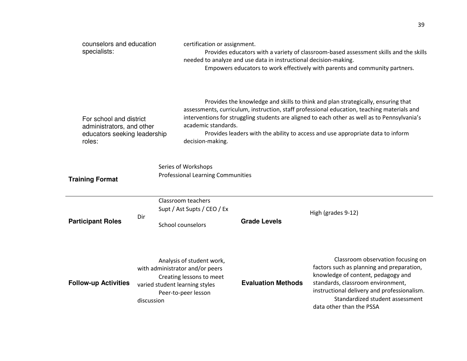| counselors and education<br>specialists:                                                       |            | certification or assignment.                                                                                                                                                                                                                                                                                                                                                                                | needed to analyze and use data in instructional decision-making. | Provides educators with a variety of classroom-based assessment skills and the skills<br>Empowers educators to work effectively with parents and community partners.                                                                                                    |  |  |  |
|------------------------------------------------------------------------------------------------|------------|-------------------------------------------------------------------------------------------------------------------------------------------------------------------------------------------------------------------------------------------------------------------------------------------------------------------------------------------------------------------------------------------------------------|------------------------------------------------------------------|-------------------------------------------------------------------------------------------------------------------------------------------------------------------------------------------------------------------------------------------------------------------------|--|--|--|
| For school and district<br>administrators, and other<br>educators seeking leadership<br>roles: |            | Provides the knowledge and skills to think and plan strategically, ensuring that<br>assessments, curriculum, instruction, staff professional education, teaching materials and<br>interventions for struggling students are aligned to each other as well as to Pennsylvania's<br>academic standards.<br>Provides leaders with the ability to access and use appropriate data to inform<br>decision-making. |                                                                  |                                                                                                                                                                                                                                                                         |  |  |  |
| <b>Training Format</b>                                                                         |            | Series of Workshops<br><b>Professional Learning Communities</b>                                                                                                                                                                                                                                                                                                                                             |                                                                  |                                                                                                                                                                                                                                                                         |  |  |  |
| <b>Participant Roles</b>                                                                       | Dir        | Classroom teachers<br>Supt / Ast Supts / CEO / Ex<br><b>School counselors</b>                                                                                                                                                                                                                                                                                                                               | <b>Grade Levels</b>                                              | High (grades 9-12)                                                                                                                                                                                                                                                      |  |  |  |
| <b>Follow-up Activities</b>                                                                    | discussion | Analysis of student work,<br>with administrator and/or peers<br>Creating lessons to meet<br>varied student learning styles<br>Peer-to-peer lesson                                                                                                                                                                                                                                                           | <b>Evaluation Methods</b>                                        | Classroom observation focusing on<br>factors such as planning and preparation,<br>knowledge of content, pedagogy and<br>standards, classroom environment,<br>instructional delivery and professionalism.<br>Standardized student assessment<br>data other than the PSSA |  |  |  |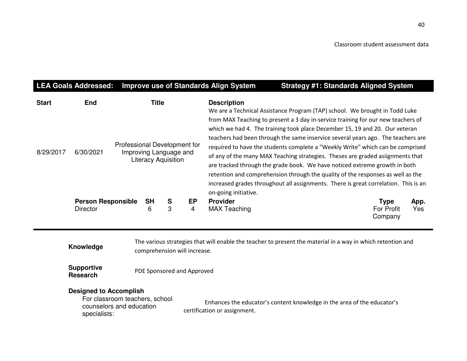|                           | <b>LEA Goals Addressed:</b>           |                              |                |                                                      |                      | <b>Improve use of Standards Align System</b> | <b>Strategy #1: Standards Aligned System</b>                                                                                                                                                                                                                                                                                                                                                                                                                                                                                                                                                                                                                                                                                                                   |                                             |             |
|---------------------------|---------------------------------------|------------------------------|----------------|------------------------------------------------------|----------------------|----------------------------------------------|----------------------------------------------------------------------------------------------------------------------------------------------------------------------------------------------------------------------------------------------------------------------------------------------------------------------------------------------------------------------------------------------------------------------------------------------------------------------------------------------------------------------------------------------------------------------------------------------------------------------------------------------------------------------------------------------------------------------------------------------------------------|---------------------------------------------|-------------|
| <b>Start</b><br>8/29/2017 | <b>End</b><br>6/30/2021               | Professional Development for | <b>Title</b>   | Improving Language and<br><b>Literacy Aquisition</b> |                      | <b>Description</b><br>on-going initiative.   | We are a Technical Assistance Program (TAP) school. We brought in Todd Luke<br>from MAX Teaching to present a 3 day in-service training for our new teachers of<br>which we had 4. The training took place December 15, 19 and 20. Our veteran<br>teachers had been through the same inservice several years ago. The teachers are<br>required to have the students complete a "Weekly Write" which can be comprised<br>of any of the many MAX Teaching strategies. Theses are graded asiignments that<br>are tracked through the grade book. We have noticed extreme growth in both<br>retention and comprehension through the quality of the responses as well as the<br>increased grades throughout all assignments. There is great correlation. This is an |                                             |             |
|                           | <b>Person Responsible</b><br>Director |                              | <b>SH</b><br>6 | S<br>3                                               | EP<br>$\overline{4}$ | <b>Provider</b><br><b>MAX Teaching</b>       |                                                                                                                                                                                                                                                                                                                                                                                                                                                                                                                                                                                                                                                                                                                                                                | <b>Type</b><br><b>For Profit</b><br>Company | App.<br>Yes |

|           | The various strategies that will enable the teacher to present the material in a way in which retention and |
|-----------|-------------------------------------------------------------------------------------------------------------|
| Knowledge | comprehension will increase.                                                                                |
|           |                                                                                                             |

**Supportive**  PDE Sponsored and Approved

# **Designed to Accomplish**

 For classroom teachers, school counselors and education specialists:

Enhances the educator's content knowledge in the area of the educator's certification or assignment.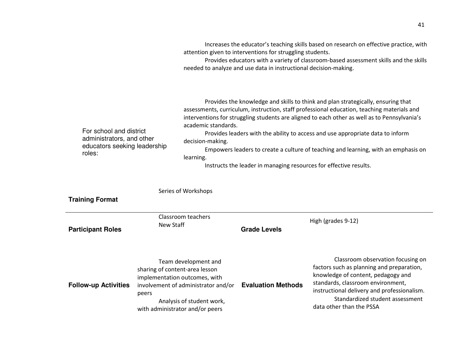|                                                                                                                                                                                                                                                                                                                                                                                                                                                                                                                                                                                                                                                                                                                                        |                                                                                                             |                                                                                          | attention given to interventions for struggling students.<br>needed to analyze and use data in instructional decision-making. | Increases the educator's teaching skills based on research on effective practice, with<br>Provides educators with a variety of classroom-based assessment skills and the skills                                                                                         |  |
|----------------------------------------------------------------------------------------------------------------------------------------------------------------------------------------------------------------------------------------------------------------------------------------------------------------------------------------------------------------------------------------------------------------------------------------------------------------------------------------------------------------------------------------------------------------------------------------------------------------------------------------------------------------------------------------------------------------------------------------|-------------------------------------------------------------------------------------------------------------|------------------------------------------------------------------------------------------|-------------------------------------------------------------------------------------------------------------------------------|-------------------------------------------------------------------------------------------------------------------------------------------------------------------------------------------------------------------------------------------------------------------------|--|
| Provides the knowledge and skills to think and plan strategically, ensuring that<br>assessments, curriculum, instruction, staff professional education, teaching materials and<br>interventions for struggling students are aligned to each other as well as to Pennsylvania's<br>academic standards.<br>For school and district<br>Provides leaders with the ability to access and use appropriate data to inform<br>administrators, and other<br>decision-making.<br>educators seeking leadership<br>Empowers leaders to create a culture of teaching and learning, with an emphasis on<br>roles:<br>learning.<br>Instructs the leader in managing resources for effective results.<br>Series of Workshops<br><b>Training Format</b> |                                                                                                             |                                                                                          |                                                                                                                               |                                                                                                                                                                                                                                                                         |  |
|                                                                                                                                                                                                                                                                                                                                                                                                                                                                                                                                                                                                                                                                                                                                        |                                                                                                             | Classroom teachers                                                                       |                                                                                                                               | High (grades 9-12)                                                                                                                                                                                                                                                      |  |
| <b>Participant Roles</b>                                                                                                                                                                                                                                                                                                                                                                                                                                                                                                                                                                                                                                                                                                               | New Staff                                                                                                   |                                                                                          | <b>Grade Levels</b>                                                                                                           |                                                                                                                                                                                                                                                                         |  |
| <b>Follow-up Activities</b>                                                                                                                                                                                                                                                                                                                                                                                                                                                                                                                                                                                                                                                                                                            | sharing of content-area lesson<br>implementation outcomes, with<br>peers<br>with administrator and/or peers | Team development and<br>involvement of administrator and/or<br>Analysis of student work, | <b>Evaluation Methods</b>                                                                                                     | Classroom observation focusing on<br>factors such as planning and preparation,<br>knowledge of content, pedagogy and<br>standards, classroom environment,<br>instructional delivery and professionalism.<br>Standardized student assessment<br>data other than the PSSA |  |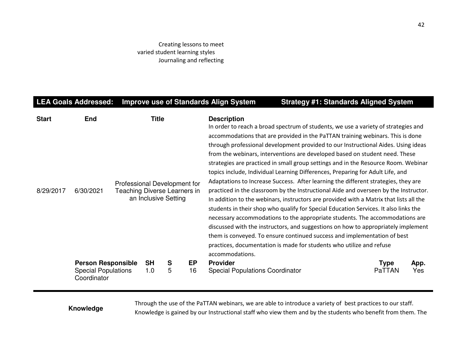#### Creating lessons to meet varied student learning styles Journaling and reflecting

# LEA Goals Addressed: Improve use of Standards Align System Strategy #1: Standards Aligned System

| <b>Start</b><br>8/29/2017 | <b>End</b><br>6/30/2021                                                | Professional Development for<br>Teaching Diverse Learners in | Title<br>an Inclusive Setting |        |          | <b>Description</b><br>In order to reach a broad spectrum of students, we use a variety of strategies and<br>accommodations that are provided in the PaTTAN training webinars. This is done<br>through professional development provided to our Instructional Aides. Using ideas<br>from the webinars, interventions are developed based on student need. These<br>strategies are practiced in small group settings and in the Resource Room. Webinar<br>topics include, Individual Learning Differences, Preparing for Adult Life, and<br>Adaptations to Increase Success. After learning the different strategies, they are<br>practiced in the classroom by the Instructional Aide and overseen by the Instructor.<br>In addition to the webinars, instructors are provided with a Matrix that lists all the<br>students in their shop who qualify for Special Education Services. It also links the<br>necessary accommodations to the appropriate students. The accommodations are<br>discussed with the instructors, and suggestions on how to appropriately implement<br>them is conveyed. To ensure continued success and implementation of best<br>practices, documentation is made for students who utilize and refuse<br>accommodations. |                       |             |
|---------------------------|------------------------------------------------------------------------|--------------------------------------------------------------|-------------------------------|--------|----------|----------------------------------------------------------------------------------------------------------------------------------------------------------------------------------------------------------------------------------------------------------------------------------------------------------------------------------------------------------------------------------------------------------------------------------------------------------------------------------------------------------------------------------------------------------------------------------------------------------------------------------------------------------------------------------------------------------------------------------------------------------------------------------------------------------------------------------------------------------------------------------------------------------------------------------------------------------------------------------------------------------------------------------------------------------------------------------------------------------------------------------------------------------------------------------------------------------------------------------------------------|-----------------------|-------------|
|                           | <b>Person Responsible</b><br><b>Special Populations</b><br>Coordinator |                                                              | <b>SH</b><br>1.0              | S<br>5 | EP<br>16 | <b>Provider</b><br><b>Special Populations Coordinator</b>                                                                                                                                                                                                                                                                                                                                                                                                                                                                                                                                                                                                                                                                                                                                                                                                                                                                                                                                                                                                                                                                                                                                                                                          | <b>Type</b><br>PaTTAN | App.<br>Yes |

Through the use of the PaTTAN webinars, we are able to introduce a variety of best practices to our staff.<br>Knowledge is gained by our Instructional staff who view them and by the students who benefit from them. The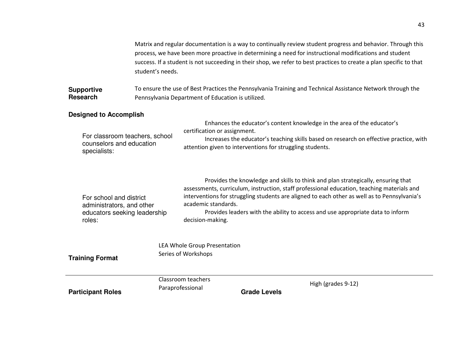|                                                                                                             | student's needs. | Matrix and regular documentation is a way to continually review student progress and behavior. Through this<br>process, we have been more proactive in determining a need for instructional modifications and student<br>success. If a student is not succeeding in their shop, we refer to best practices to create a plan specific to that |                                                           |                                                                                                                                                                                                                                                                                                                                                                  |  |  |  |  |  |
|-------------------------------------------------------------------------------------------------------------|------------------|----------------------------------------------------------------------------------------------------------------------------------------------------------------------------------------------------------------------------------------------------------------------------------------------------------------------------------------------|-----------------------------------------------------------|------------------------------------------------------------------------------------------------------------------------------------------------------------------------------------------------------------------------------------------------------------------------------------------------------------------------------------------------------------------|--|--|--|--|--|
| <b>Supportive</b><br><b>Research</b>                                                                        |                  | To ensure the use of Best Practices the Pennsylvania Training and Technical Assistance Network through the<br>Pennsylvania Department of Education is utilized.                                                                                                                                                                              |                                                           |                                                                                                                                                                                                                                                                                                                                                                  |  |  |  |  |  |
| <b>Designed to Accomplish</b><br>For classroom teachers, school<br>counselors and education<br>specialists: |                  | certification or assignment.                                                                                                                                                                                                                                                                                                                 | attention given to interventions for struggling students. | Enhances the educator's content knowledge in the area of the educator's<br>Increases the educator's teaching skills based on research on effective practice, with                                                                                                                                                                                                |  |  |  |  |  |
| For school and district<br>administrators, and other<br>educators seeking leadership<br>roles:              |                  | academic standards.<br>decision-making.                                                                                                                                                                                                                                                                                                      |                                                           | Provides the knowledge and skills to think and plan strategically, ensuring that<br>assessments, curriculum, instruction, staff professional education, teaching materials and<br>interventions for struggling students are aligned to each other as well as to Pennsylvania's<br>Provides leaders with the ability to access and use appropriate data to inform |  |  |  |  |  |
| <b>Training Format</b>                                                                                      |                  | LEA Whole Group Presentation<br>Series of Workshops                                                                                                                                                                                                                                                                                          |                                                           |                                                                                                                                                                                                                                                                                                                                                                  |  |  |  |  |  |
| <b>Participant Roles</b>                                                                                    |                  | Classroom teachers<br>Paraprofessional                                                                                                                                                                                                                                                                                                       | <b>Grade Levels</b>                                       | High (grades 9-12)                                                                                                                                                                                                                                                                                                                                               |  |  |  |  |  |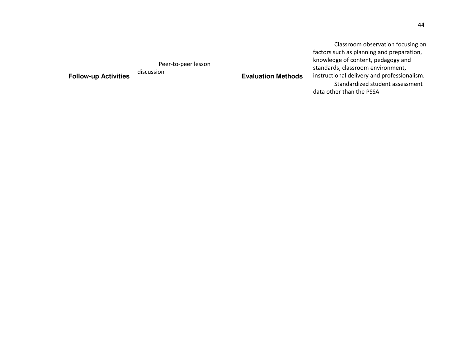Classroom observation focusing on factors such as planning and preparation, knowledge of content, pedagogy and standards, classroom environment, instructional delivery and professionalism.Standardized student assessment data other than the PSSA

Peer-to-peer lesson

**Follow-up Activities** 

discussion

**Evaluation Methods**